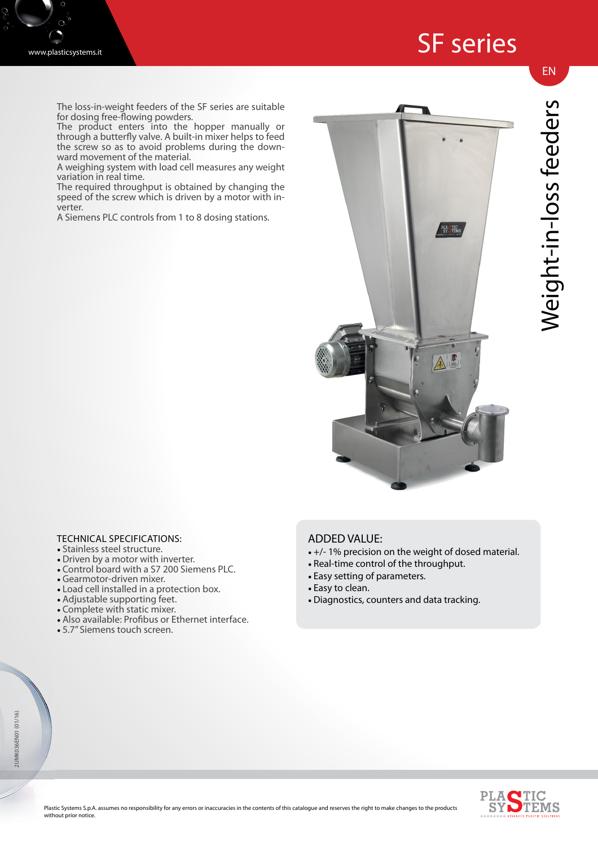

The loss-in-weight feeders of the SF series are suitable for dosing free-flowing powders.

The product enters into the hopper manually or through a butterfly valve. A built-in mixer helps to feed the screw so as to avoid problems during the downward movement of the material.

A weighing system with load cell measures any weight variation in real time.

The required throughput is obtained by changing the speed of the screw which is driven by a motor with inverter.

A Siemens PLC controls from 1 to 8 dosing stations.



## Weight-in-loss feeders Weight-in-loss feeders

## TECHNICAL SPECIFICATIONS:

- Stainless steel structure.
- Driven by a motor with inverter.
- Control board with a S7 200 Siemens PLC.
- Gearmotor-driven mixer.
- Load cell installed in a protection box.
- Adjustable supporting feet.
- Complete with static mixer.
- Also available: Profibus or Ethernet interface.
- 5.7" Siemens touch screen.

## ADDED VALUE:

- +/- 1% precision on the weight of dosed material.
- Real-time control of the throughput.
- Easy setting of parameters.
- Easy to clean.
- Diagnostics, counters and data tracking.